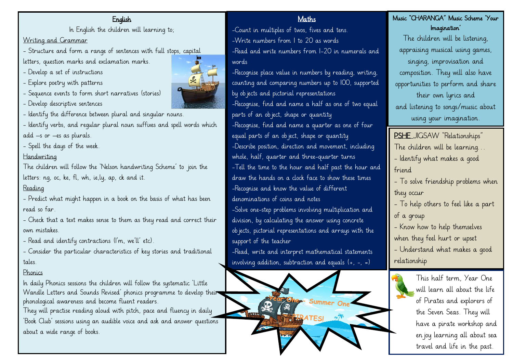### English

In English the children will learning to;

Writing and Grammar

- Structure and form a range of sentences with full stops, capital

letters, question marks and exclamation marks.

- Develop a set of instructions
- Explore poetry with patterns
- Sequence events to form short narratives (stories)
- Develop descriptive sentences
- Identify the difference between plural and singular nouns.
- Identify verbs, and regular plural noun suffixes and spell words which add –s or –es as plurals.
- Spell the days of the week.

## Handwriting

The children will follow the 'Nelson handwriting Scheme' to join the letters: ng, oc, ke, fl, wh, ie,ly, ap, ck and it.

## Reading

- Predict what might happen in a book on the basis of what has been read so far.

- Check that a text makes sense to them as they read and correct their own mistakes.

- Read and identify contractions (I'm, we'll' etc).
- Consider the particular characteristics of key stories and traditional tales.

## Phonics

In daily Phonics sessions the children will follow the systematic 'Little Wandle Letters and Sounds Revised' phonics programme to develop their phonological awareness and become fluent readers.

They will practise reading aloud with pitch, pace and fluency in daily 'Book Club' sessions using an audible voice and ask and answer questions about a wide range of books.



#### Maths

-Count in multiples of twos, fives and tens. -Write numbers from 1 to 20 as words -Read and write numbers from 1-20 in numerals and words

-Recognise place value in numbers by reading, writing, counting and comparing numbers up to 100, supported by objects and pictorial representations -Recognise, find and name a half as one of two equal parts of an object, shape or quantity -Recognise, find and name a quarter as one of four equal parts of an object, shape or quantity -Describe position, direction and movement, including whole, half, quarter and three-quarter turns -Tell the time to the hour and half past the hour and draw the hands on a clock face to show these times -Recognise and know the value of different denominations of coins and notes -Solve one-step problems involving multiplication and

division, by calculating the answer using concrete objects, pictorial representations and arrays with the support of the teacher

-Read, write and interpret mathematical statements involving addition, subtraction and equals  $(+, -, =)$ 



## Music "CHARANGA" Music Scheme 'Your Imagination'

The children will be listening, appraising musical using games, singing, improvisation and composition. They will also have opportunities to perform and share their own lyrics and and listening to songs/music about using your imagination.

PSHE JIGSAW "Relationships" The children will be learning… - Identify what makes a good friend - To solve friendship problems when they occur

- To help others to feel like a part of a group

- Know how to help themselves when they feel hurt or upset - Understand what makes a good relationship

> This half term, Year One will learn all about the life of Pirates and explorers of the Seven Seas. They will have a pirate workshop and enjoy learning all about sea travel and life in the past.